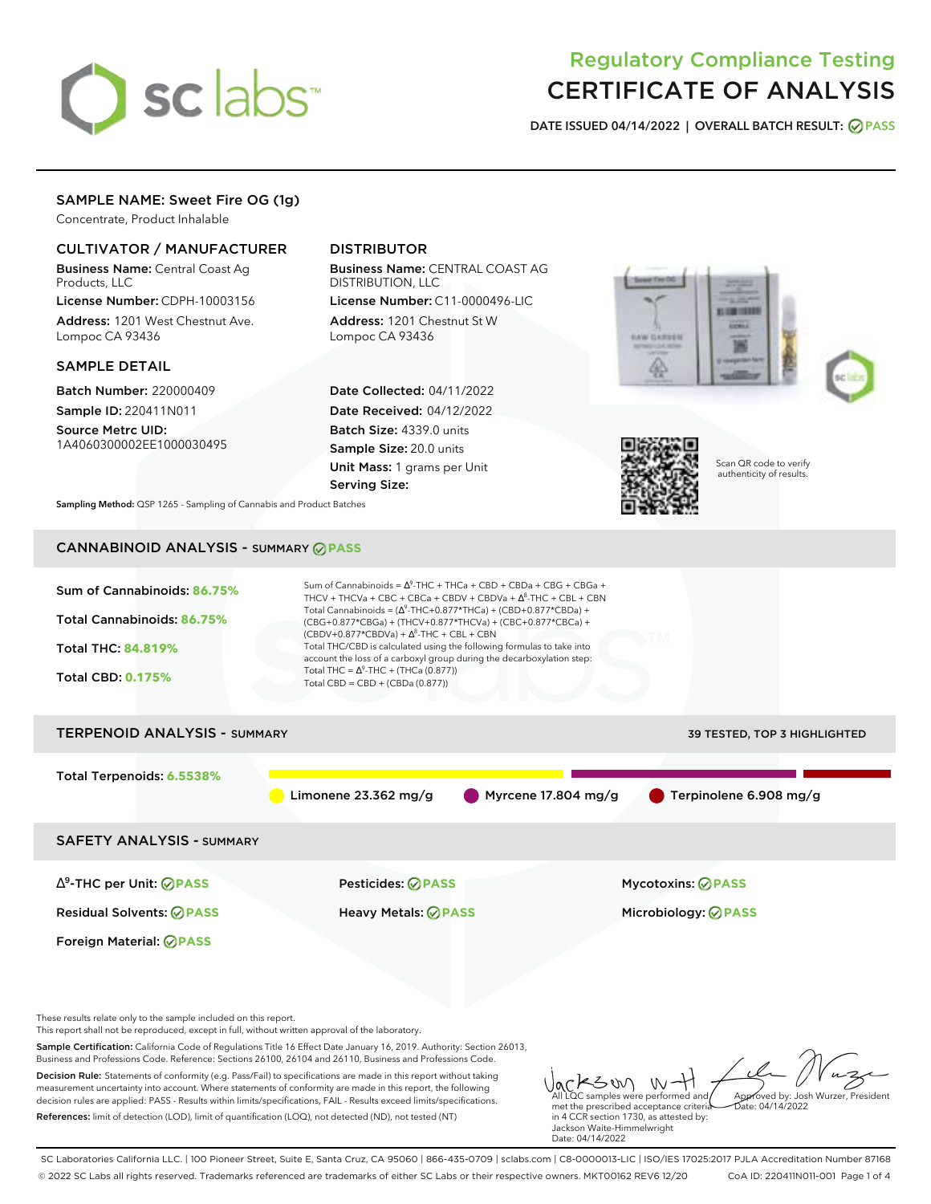# sclabs<sup>\*</sup>

# Regulatory Compliance Testing CERTIFICATE OF ANALYSIS

**DATE ISSUED 04/14/2022 | OVERALL BATCH RESULT: PASS**

# SAMPLE NAME: Sweet Fire OG (1g)

Concentrate, Product Inhalable

# CULTIVATOR / MANUFACTURER

Business Name: Central Coast Ag Products, LLC

License Number: CDPH-10003156 Address: 1201 West Chestnut Ave. Lompoc CA 93436

# SAMPLE DETAIL

Batch Number: 220000409 Sample ID: 220411N011

Source Metrc UID: 1A4060300002EE1000030495

# DISTRIBUTOR

Business Name: CENTRAL COAST AG DISTRIBUTION, LLC

License Number: C11-0000496-LIC Address: 1201 Chestnut St W Lompoc CA 93436

Date Collected: 04/11/2022 Date Received: 04/12/2022 Batch Size: 4339.0 units Sample Size: 20.0 units Unit Mass: 1 grams per Unit Serving Size:







Scan QR code to verify authenticity of results.

**Sampling Method:** QSP 1265 - Sampling of Cannabis and Product Batches

# CANNABINOID ANALYSIS - SUMMARY **PASS**

| Sum of Cannabinoids: 86.75%<br>Total Cannabinoids: 86.75%<br><b>Total THC: 84.819%</b><br><b>Total CBD: 0.175%</b>                                                                                                                                                                | Sum of Cannabinoids = $\Delta^9$ -THC + THCa + CBD + CBDa + CBG + CBGa +<br>THCV + THCVa + CBC + CBCa + CBDV + CBDVa + $\Delta^8$ -THC + CBL + CBN<br>Total Cannabinoids = $(\Delta^9$ -THC+0.877*THCa) + (CBD+0.877*CBDa) +<br>(CBG+0.877*CBGa) + (THCV+0.877*THCVa) + (CBC+0.877*CBCa) +<br>$(CBDV+0.877*CBDVa) + \Delta^8$ -THC + CBL + CBN<br>Total THC/CBD is calculated using the following formulas to take into<br>account the loss of a carboxyl group during the decarboxylation step:<br>Total THC = $\Delta^9$ -THC + (THCa (0.877))<br>Total CBD = CBD + (CBDa $(0.877)$ ) |                                               |
|-----------------------------------------------------------------------------------------------------------------------------------------------------------------------------------------------------------------------------------------------------------------------------------|-----------------------------------------------------------------------------------------------------------------------------------------------------------------------------------------------------------------------------------------------------------------------------------------------------------------------------------------------------------------------------------------------------------------------------------------------------------------------------------------------------------------------------------------------------------------------------------------|-----------------------------------------------|
| <b>TERPENOID ANALYSIS - SUMMARY</b>                                                                                                                                                                                                                                               |                                                                                                                                                                                                                                                                                                                                                                                                                                                                                                                                                                                         | 39 TESTED, TOP 3 HIGHLIGHTED                  |
| Total Terpenoids: 6.5538%                                                                                                                                                                                                                                                         | Limonene $23.362$ mg/g                                                                                                                                                                                                                                                                                                                                                                                                                                                                                                                                                                  | Myrcene 17.804 mg/g<br>Terpinolene 6.908 mg/g |
| <b>SAFETY ANALYSIS - SUMMARY</b>                                                                                                                                                                                                                                                  |                                                                                                                                                                                                                                                                                                                                                                                                                                                                                                                                                                                         |                                               |
| $\Delta^9$ -THC per Unit: $\bigcirc$ PASS                                                                                                                                                                                                                                         | Pesticides: <b>ØPASS</b>                                                                                                                                                                                                                                                                                                                                                                                                                                                                                                                                                                | <b>Mycotoxins: ⊘PASS</b>                      |
| <b>Residual Solvents: ØPASS</b>                                                                                                                                                                                                                                                   | <b>Heavy Metals: ⊘ PASS</b>                                                                                                                                                                                                                                                                                                                                                                                                                                                                                                                                                             | Microbiology: <b>⊘PASS</b>                    |
| Foreign Material: <b>⊘ PASS</b>                                                                                                                                                                                                                                                   |                                                                                                                                                                                                                                                                                                                                                                                                                                                                                                                                                                                         |                                               |
| These results relate only to the sample included on this report.<br>This report shall not be reproduced, except in full, without written approval of the laboratory.<br>Business and Professions Code. Reference: Sections 26100, 26104 and 26110, Business and Professions Code. | Sample Certification: California Code of Regulations Title 16 Effect Date January 16, 2019. Authority: Section 26013,                                                                                                                                                                                                                                                                                                                                                                                                                                                                   |                                               |
| Decision Rule: Statements of conformity (e.g. Pass/Fail) to specifications are made in this report without taking<br>measurement uncertainty into account. Where statements of conformity are made in this report, the following                                                  |                                                                                                                                                                                                                                                                                                                                                                                                                                                                                                                                                                                         | Vackson with film                             |

decision rules are applied: PASS - Results within limits/specifications, FAIL - Results exceed limits/specifications. References: limit of detection (LOD), limit of quantification (LOQ), not detected (ND), not tested (NT)

All LQC samples were performed and/ met the prescribed acceptance criteria in 4 CCR section 1730, as attested by: Jackson Waite-Himmelwright Date: 04/14/2022 Approved by: Josh Wurzer, President Date: 04/14/2022

SC Laboratories California LLC. | 100 Pioneer Street, Suite E, Santa Cruz, CA 95060 | 866-435-0709 | sclabs.com | C8-0000013-LIC | ISO/IES 17025:2017 PJLA Accreditation Number 87168 © 2022 SC Labs all rights reserved. Trademarks referenced are trademarks of either SC Labs or their respective owners. MKT00162 REV6 12/20 CoA ID: 220411N011-001 Page 1 of 4